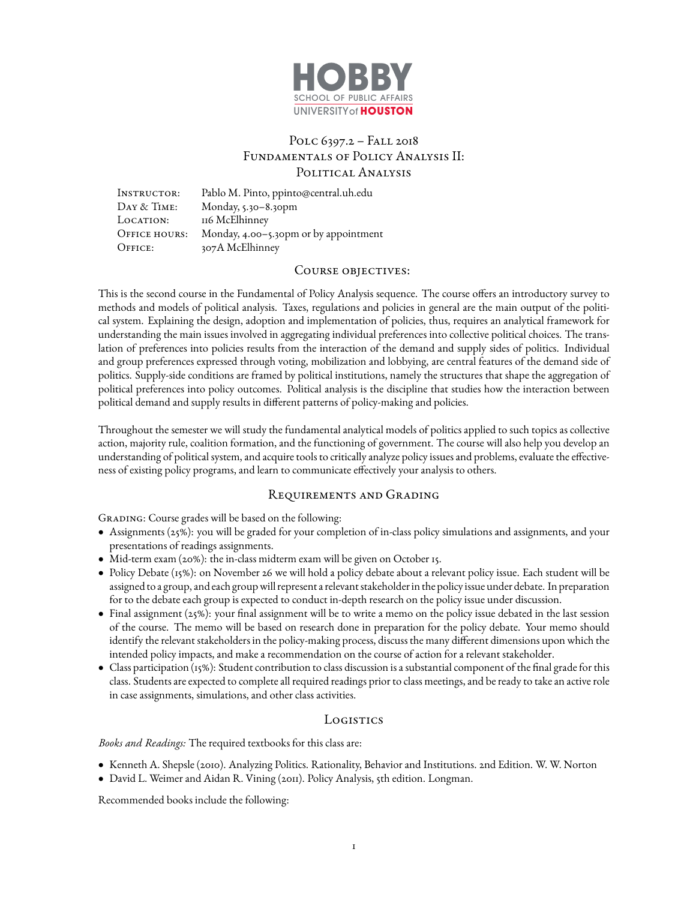

# Polc 6397.2 – Fall 2018 Fundamentals of Policy Analysis II: POLITICAL ANALYSIS

Instructor: Pablo M. Pinto, ppinto@central.uh.edu DAY & TIME: Monday, 5.30-8.30pm LOCATION: 116 McElhinney Office hours: Monday, 4.00–5.30pm or by appointment OFFICE:  $307A$  McElhinney

#### COURSE OBJECTIVES:

This is the second course in the Fundamental of Policy Analysis sequence. The course offers an introductory survey to methods and models of political analysis. Taxes, regulations and policies in general are the main output of the political system. Explaining the design, adoption and implementation of policies, thus, requires an analytical framework for understanding the main issues involved in aggregating individual preferences into collective political choices. The translation of preferences into policies results from the interaction of the demand and supply sides of politics. Individual and group preferences expressed through voting, mobilization and lobbying, are central features of the demand side of politics. Supply-side conditions are framed by political institutions, namely the structures that shape the aggregation of political preferences into policy outcomes. Political analysis is the discipline that studies how the interaction between political demand and supply results in different patterns of policy-making and policies.

Throughout the semester we will study the fundamental analytical models of politics applied to such topics as collective action, majority rule, coalition formation, and the functioning of government. The course will also help you develop an understanding of political system, and acquire tools to critically analyze policy issues and problems, evaluate the effectiveness of existing policy programs, and learn to communicate effectively your analysis to others.

## Requirements and Grading

GRADING: Course grades will be based on the following:

- Assignments (25%): you will be graded for your completion of in-class policy simulations and assignments, and your presentations of readings assignments.
- Mid-term exam (20%): the in-class midterm exam will be given on October 15.
- Policy Debate (15%): on November 26 we will hold a policy debate about a relevant policy issue. Each student will be assigned to a group, and each groupwill represent a relevant stakeholder in the policy issue under debate. In preparation for to the debate each group is expected to conduct in-depth research on the policy issue under discussion.
- Final assignment (25%): your final assignment will be to write a memo on the policy issue debated in the last session of the course. The memo will be based on research done in preparation for the policy debate. Your memo should identify the relevant stakeholders in the policy-making process, discuss the many different dimensions upon which the intended policy impacts, and make a recommendation on the course of action for a relevant stakeholder.
- Class participation (15%): Student contribution to class discussion is a substantial component of the final grade for this class. Students are expected to complete all required readings prior to class meetings, and be ready to take an active role in case assignments, simulations, and other class activities.

## Logistics

#### *Books and Readings:* The required textbooks for this class are:

- Kenneth A. Shepsle (2010). Analyzing Politics. Rationality, Behavior and Institutions. 2nd Edition. W. W. Norton
- David L. Weimer and Aidan R. Vining (2011). Policy Analysis, 5th edition. Longman.

Recommended books include the following: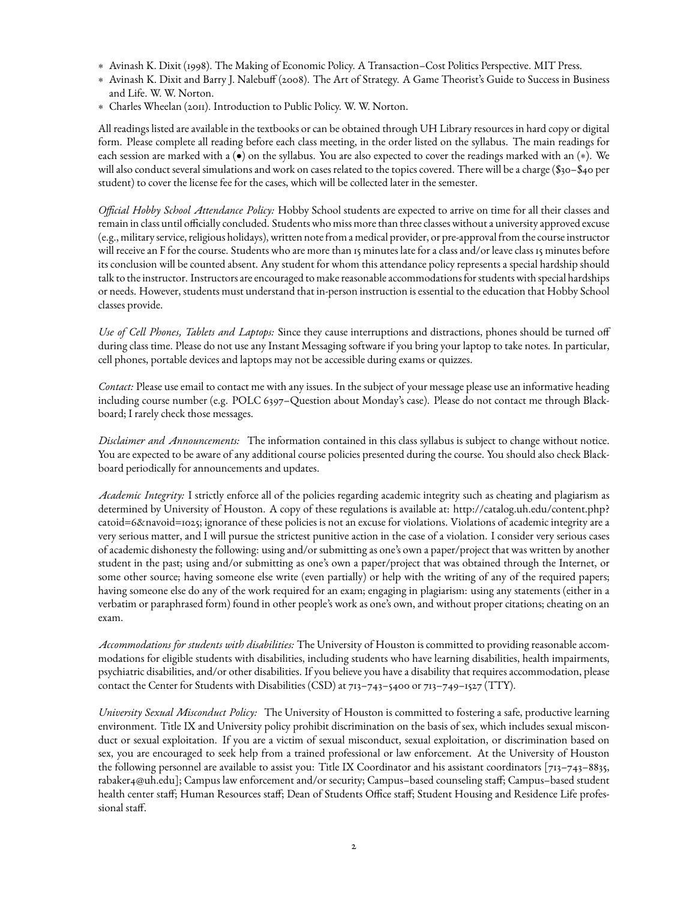- ∗ Avinash K. Dixit (1998). The Making of Economic Policy. A Transaction–Cost Politics Perspective. MIT Press.
- ∗ Avinash K. Dixit and Barry J. Nalebuff (2008). The Art of Strategy. A Game Theorist's Guide to Success in Business and Life. W. W. Norton.
- ∗ Charles Wheelan (2011). Introduction to Public Policy. W. W. Norton.

All readings listed are available in the textbooks or can be obtained through UH Library resources in hard copy or digital form. Please complete all reading before each class meeting, in the order listed on the syllabus. The main readings for each session are marked with a (•) on the syllabus. You are also expected to cover the readings marked with an (∗). We will also conduct several simulations and work on cases related to the topics covered. There will be a charge (\$30–\$40 per student) to cover the license fee for the cases, which will be collected later in the semester.

*Official Hobby School Attendance Policy:* Hobby School students are expected to arrive on time for all their classes and remain in class until officially concluded. Students who miss more than three classes without a university approved excuse (e.g., military service, religious holidays), written note from a medical provider, or pre-approval from the course instructor will receive an F for the course. Students who are more than 15 minutes late for a class and/or leave class 15 minutes before its conclusion will be counted absent. Any student for whom this attendance policy represents a special hardship should talk to the instructor. Instructors are encouraged to make reasonable accommodations for students with special hardships or needs. However, students must understand that in-person instruction is essential to the education that Hobby School classes provide.

*Use of Cell Phones, Tablets and Laptops:* Since they cause interruptions and distractions, phones should be turned off during class time. Please do not use any Instant Messaging software if you bring your laptop to take notes. In particular, cell phones, portable devices and laptops may not be accessible during exams or quizzes.

*Contact:* Please use email to contact me with any issues. In the subject of your message please use an informative heading including course number (e.g. POLC 6397–Question about Monday's case). Please do not contact me through Blackboard; I rarely check those messages.

*Disclaimer and Announcements:* The information contained in this class syllabus is subject to change without notice. You are expected to be aware of any additional course policies presented during the course. You should also check Blackboard periodically for announcements and updates.

*Academic Integrity:* I strictly enforce all of the policies regarding academic integrity such as cheating and plagiarism as determined by University of Houston. A copy of these regulations is available at: [http://catalog.uh.edu/content.php?](http://catalog.uh.edu/content.php?catoid=6&navoid=1025) [catoid=6&navoid=1025;](http://catalog.uh.edu/content.php?catoid=6&navoid=1025) ignorance of these policies is not an excuse for violations. Violations of academic integrity are a very serious matter, and I will pursue the strictest punitive action in the case of a violation. I consider very serious cases of academic dishonesty the following: using and/or submitting as one's own a paper/project that was written by another student in the past; using and/or submitting as one's own a paper/project that was obtained through the Internet, or some other source; having someone else write (even partially) or help with the writing of any of the required papers; having someone else do any of the work required for an exam; engaging in plagiarism: using any statements (either in a verbatim or paraphrased form) found in other people's work as one's own, and without proper citations; cheating on an exam.

*Accommodations for students with disabilities:* The University of Houston is committed to providing reasonable accommodations for eligible students with disabilities, including students who have learning disabilities, health impairments, psychiatric disabilities, and/or other disabilities. If you believe you have a disability that requires accommodation, please contact the Center for Students with Disabilities (CSD) at 713–743–5400 or 713–749–1527 (TTY).

*University Sexual Misconduct Policy:* The University of Houston is committed to fostering a safe, productive learning environment. Title IX and University policy prohibit discrimination on the basis of sex, which includes sexual misconduct or sexual exploitation. If you are a victim of sexual misconduct, sexual exploitation, or discrimination based on sex, you are encouraged to seek help from a trained professional or law enforcement. At the University of Houston the following personnel are available to assist you: Title IX Coordinator and his assistant coordinators [713–743–8835, rabaker4@uh.edu]; Campus law enforcement and/or security; Campus–based counseling staff; Campus–based student health center staff; Human Resources staff; Dean of Students Office staff; Student Housing and Residence Life professional staff.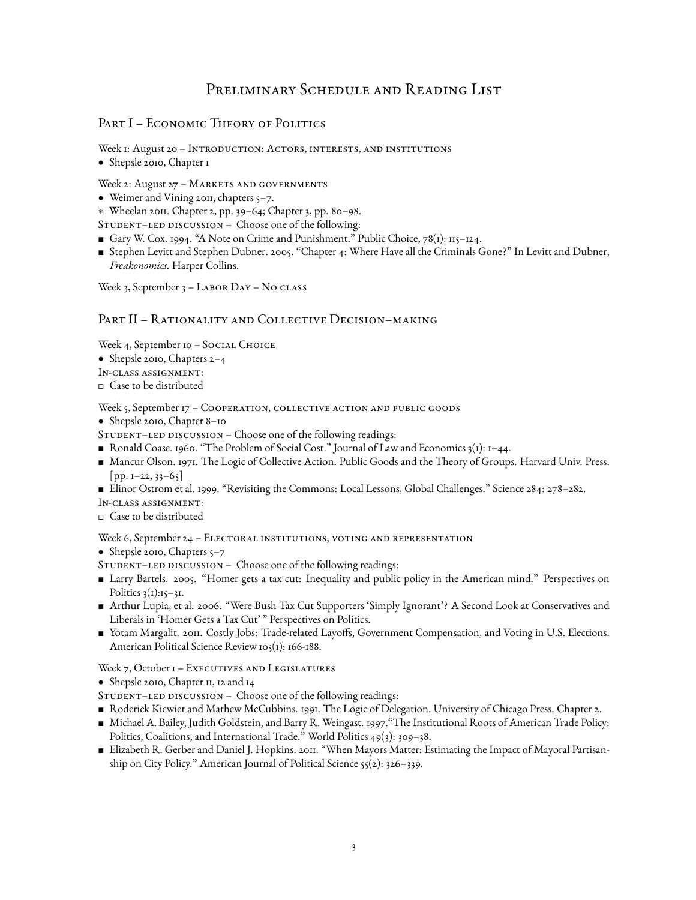# Preliminary Schedule and Reading List

# PART I – ECONOMIC THEORY OF POLITICS

Week I: August 20 - INTRODUCTION: ACTORS, INTERESTS, AND INSTITUTIONS

• Shepsle 2010, Chapter 1

Week 2: August 27 - MARKETS AND GOVERNMENTS

- Weimer and Vining 2011, chapters 5–7.
- ∗ Wheelan 2011. Chapter 2, pp. 39–64; Chapter 3, pp. 80–98.
- STUDENT-LED DISCUSSION Choose one of the following:
- Gary W. Cox. 1994. "A Note on Crime and Punishment." Public Choice, 78(1): 115–124.
- Stephen Levitt and Stephen Dubner. 2005. "Chapter 4: Where Have all the Criminals Gone?" In Levitt and Dubner, *Freakonomics*. Harper Collins.

Week 3, September 3 - LABOR DAY - No CLASS

## PART II – RATIONALITY AND COLLECTIVE DECISION–MAKING

Week 4, September 10 - SOCIAL CHOICE

- Shepsle 2010, Chapters 2–4
- In-class assignment:
- Case to be distributed

Week 5, September 17 - COOPERATION, COLLECTIVE ACTION AND PUBLIC GOODS

- Shepsle 2010, Chapter 8–10
- STUDENT–LED DISCUSSION Choose one of the following readings:
- Ronald Coase. 1960. "The Problem of Social Cost." Journal of Law and Economics  $3(1)$ : 1–44.
- Mancur Olson. 1971. The Logic of Collective Action. Public Goods and the Theory of Groups. Harvard Univ. Press.  $[pp. I-22, 33-65]$
- Elinor Ostrom et al. 1999. "Revisiting the Commons: Local Lessons, Global Challenges." Science 284: 278–282.
- In-class assignment:
- Case to be distributed

Week 6, September 24 - ELECTORAL INSTITUTIONS, VOTING AND REPRESENTATION

- Shepsle 2010, Chapters  $5-7$
- STUDENT-LED DISCUSSION Choose one of the following readings:
- Larry Bartels. 2005. "Homer gets a tax cut: Inequality and public policy in the American mind." Perspectives on Politics  $3(1):15-31$ .
- Arthur Lupia, et al. 2006. "Were Bush Tax Cut Supporters 'Simply Ignorant'? A Second Look at Conservatives and Liberals in 'Homer Gets a Tax Cut' " Perspectives on Politics.
- Yotam Margalit. 2011. Costly Jobs: Trade-related Layoffs, Government Compensation, and Voting in U.S. Elections. American Political Science Review 105(1): 166-188.

## Week 7, October I - EXECUTIVES AND LEGISLATURES

- Shepsle 2010, Chapter 11, 12 and 14
- STUDENT-LED DISCUSSION Choose one of the following readings:
- Roderick Kiewiet and Mathew McCubbins. 1991. The Logic of Delegation. University of Chicago Press. Chapter 2.
- Michael A. Bailey, Judith Goldstein, and Barry R. Weingast. 1997."The Institutional Roots of American Trade Policy: Politics, Coalitions, and International Trade." World Politics 49(3): 309–38.
- Elizabeth R. Gerber and Daniel J. Hopkins. 2011. "When Mayors Matter: Estimating the Impact of Mayoral Partisanship on City Policy." American Journal of Political Science 55(2): 326–339.